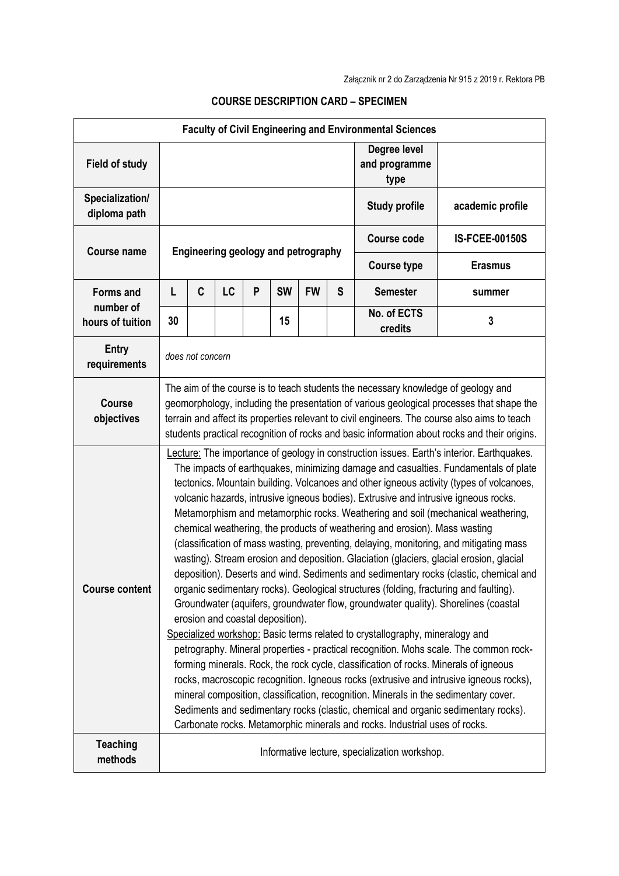| <b>Faculty of Civil Engineering and Environmental Sciences</b> |                                                                                                                                                                                                                                                                                                                                                                               |                                                                                                                                                                                                                                                                                                                                                                                                                                                                                                                                                                                                                                                                                                                                                                                                                                                                                                                                                                                                                                                                                                                                                                                                                                                                                                                                                                                                                                                                                                                                                                                                                                                            |    |   |           |           |                                       |                        |                       |  |
|----------------------------------------------------------------|-------------------------------------------------------------------------------------------------------------------------------------------------------------------------------------------------------------------------------------------------------------------------------------------------------------------------------------------------------------------------------|------------------------------------------------------------------------------------------------------------------------------------------------------------------------------------------------------------------------------------------------------------------------------------------------------------------------------------------------------------------------------------------------------------------------------------------------------------------------------------------------------------------------------------------------------------------------------------------------------------------------------------------------------------------------------------------------------------------------------------------------------------------------------------------------------------------------------------------------------------------------------------------------------------------------------------------------------------------------------------------------------------------------------------------------------------------------------------------------------------------------------------------------------------------------------------------------------------------------------------------------------------------------------------------------------------------------------------------------------------------------------------------------------------------------------------------------------------------------------------------------------------------------------------------------------------------------------------------------------------------------------------------------------------|----|---|-----------|-----------|---------------------------------------|------------------------|-----------------------|--|
| <b>Field of study</b>                                          |                                                                                                                                                                                                                                                                                                                                                                               |                                                                                                                                                                                                                                                                                                                                                                                                                                                                                                                                                                                                                                                                                                                                                                                                                                                                                                                                                                                                                                                                                                                                                                                                                                                                                                                                                                                                                                                                                                                                                                                                                                                            |    |   |           |           | Degree level<br>and programme<br>type |                        |                       |  |
| Specialization/<br>diploma path                                |                                                                                                                                                                                                                                                                                                                                                                               |                                                                                                                                                                                                                                                                                                                                                                                                                                                                                                                                                                                                                                                                                                                                                                                                                                                                                                                                                                                                                                                                                                                                                                                                                                                                                                                                                                                                                                                                                                                                                                                                                                                            |    |   |           |           |                                       | <b>Study profile</b>   | academic profile      |  |
| <b>Course name</b>                                             | Engineering geology and petrography                                                                                                                                                                                                                                                                                                                                           |                                                                                                                                                                                                                                                                                                                                                                                                                                                                                                                                                                                                                                                                                                                                                                                                                                                                                                                                                                                                                                                                                                                                                                                                                                                                                                                                                                                                                                                                                                                                                                                                                                                            |    |   |           |           |                                       | <b>Course code</b>     | <b>IS-FCEE-00150S</b> |  |
|                                                                |                                                                                                                                                                                                                                                                                                                                                                               |                                                                                                                                                                                                                                                                                                                                                                                                                                                                                                                                                                                                                                                                                                                                                                                                                                                                                                                                                                                                                                                                                                                                                                                                                                                                                                                                                                                                                                                                                                                                                                                                                                                            |    |   |           |           |                                       | <b>Course type</b>     | <b>Erasmus</b>        |  |
| <b>Forms and</b>                                               | L                                                                                                                                                                                                                                                                                                                                                                             | C                                                                                                                                                                                                                                                                                                                                                                                                                                                                                                                                                                                                                                                                                                                                                                                                                                                                                                                                                                                                                                                                                                                                                                                                                                                                                                                                                                                                                                                                                                                                                                                                                                                          | LC | P | <b>SW</b> | <b>FW</b> | S                                     | <b>Semester</b>        | summer                |  |
| number of<br>hours of tuition                                  | 30                                                                                                                                                                                                                                                                                                                                                                            |                                                                                                                                                                                                                                                                                                                                                                                                                                                                                                                                                                                                                                                                                                                                                                                                                                                                                                                                                                                                                                                                                                                                                                                                                                                                                                                                                                                                                                                                                                                                                                                                                                                            |    |   | 15        |           |                                       | No. of ECTS<br>credits | 3                     |  |
| <b>Entry</b><br>requirements                                   | does not concern                                                                                                                                                                                                                                                                                                                                                              |                                                                                                                                                                                                                                                                                                                                                                                                                                                                                                                                                                                                                                                                                                                                                                                                                                                                                                                                                                                                                                                                                                                                                                                                                                                                                                                                                                                                                                                                                                                                                                                                                                                            |    |   |           |           |                                       |                        |                       |  |
| <b>Course</b><br>objectives                                    | The aim of the course is to teach students the necessary knowledge of geology and<br>geomorphology, including the presentation of various geological processes that shape the<br>terrain and affect its properties relevant to civil engineers. The course also aims to teach<br>students practical recognition of rocks and basic information about rocks and their origins. |                                                                                                                                                                                                                                                                                                                                                                                                                                                                                                                                                                                                                                                                                                                                                                                                                                                                                                                                                                                                                                                                                                                                                                                                                                                                                                                                                                                                                                                                                                                                                                                                                                                            |    |   |           |           |                                       |                        |                       |  |
| <b>Course content</b>                                          |                                                                                                                                                                                                                                                                                                                                                                               | ecture: The importance of geology in construction issues. Earth's interior. Earthquakes.<br>The impacts of earthquakes, minimizing damage and casualties. Fundamentals of plate<br>tectonics. Mountain building. Volcanoes and other igneous activity (types of volcanoes,<br>volcanic hazards, intrusive igneous bodies). Extrusive and intrusive igneous rocks.<br>Metamorphism and metamorphic rocks. Weathering and soil (mechanical weathering,<br>chemical weathering, the products of weathering and erosion). Mass wasting<br>(classification of mass wasting, preventing, delaying, monitoring, and mitigating mass<br>wasting). Stream erosion and deposition. Glaciation (glaciers, glacial erosion, glacial<br>deposition). Deserts and wind. Sediments and sedimentary rocks (clastic, chemical and<br>organic sedimentary rocks). Geological structures (folding, fracturing and faulting).<br>Groundwater (aquifers, groundwater flow, groundwater quality). Shorelines (coastal<br>erosion and coastal deposition).<br>Specialized workshop: Basic terms related to crystallography, mineralogy and<br>petrography. Mineral properties - practical recognition. Mohs scale. The common rock-<br>forming minerals. Rock, the rock cycle, classification of rocks. Minerals of igneous<br>rocks, macroscopic recognition. Igneous rocks (extrusive and intrusive igneous rocks),<br>mineral composition, classification, recognition. Minerals in the sedimentary cover.<br>Sediments and sedimentary rocks (clastic, chemical and organic sedimentary rocks).<br>Carbonate rocks. Metamorphic minerals and rocks. Industrial uses of rocks. |    |   |           |           |                                       |                        |                       |  |
| <b>Teaching</b><br>methods                                     | Informative lecture, specialization workshop.                                                                                                                                                                                                                                                                                                                                 |                                                                                                                                                                                                                                                                                                                                                                                                                                                                                                                                                                                                                                                                                                                                                                                                                                                                                                                                                                                                                                                                                                                                                                                                                                                                                                                                                                                                                                                                                                                                                                                                                                                            |    |   |           |           |                                       |                        |                       |  |

## **COURSE DESCRIPTION CARD – SPECIMEN**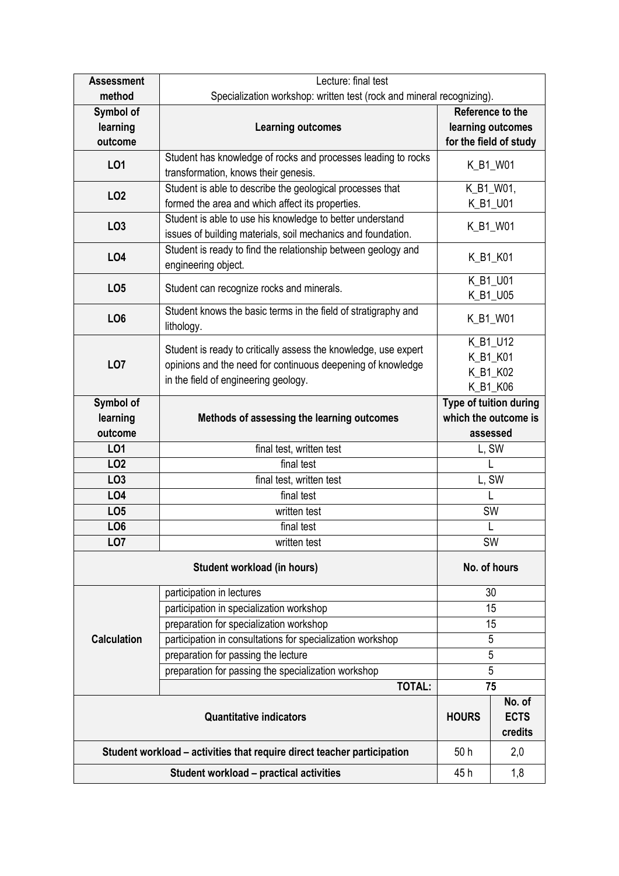| <b>Assessment</b>                | Lecture: final test                                                                                                                                                    |                                                            |                                             |  |  |  |
|----------------------------------|------------------------------------------------------------------------------------------------------------------------------------------------------------------------|------------------------------------------------------------|---------------------------------------------|--|--|--|
| method                           | Specialization workshop: written test (rock and mineral recognizing).                                                                                                  |                                                            |                                             |  |  |  |
| Symbol of                        |                                                                                                                                                                        |                                                            | Reference to the                            |  |  |  |
| learning<br>outcome              | <b>Learning outcomes</b>                                                                                                                                               |                                                            | learning outcomes<br>for the field of study |  |  |  |
| LO1                              | Student has knowledge of rocks and processes leading to rocks<br>transformation, knows their genesis.                                                                  |                                                            | K_B1_W01                                    |  |  |  |
| LO <sub>2</sub>                  | Student is able to describe the geological processes that<br>formed the area and which affect its properties.                                                          |                                                            | K_B1_W01,<br>K_B1_U01                       |  |  |  |
| LO <sub>3</sub>                  | Student is able to use his knowledge to better understand<br>issues of building materials, soil mechanics and foundation.                                              | K_B1_W01                                                   |                                             |  |  |  |
| <b>LO4</b>                       | Student is ready to find the relationship between geology and<br>engineering object.                                                                                   | K_B1_K01                                                   |                                             |  |  |  |
| LO <sub>5</sub>                  | Student can recognize rocks and minerals.                                                                                                                              | K B1 U01<br>K_B1_U05                                       |                                             |  |  |  |
| LO <sub>6</sub>                  | Student knows the basic terms in the field of stratigraphy and<br>lithology.                                                                                           | K_B1_W01                                                   |                                             |  |  |  |
| LO <sub>7</sub>                  | Student is ready to critically assess the knowledge, use expert<br>opinions and the need for continuous deepening of knowledge<br>in the field of engineering geology. | K_B1_U12<br>K_B1_K01<br>K_B1_K02<br>K_B1_K06               |                                             |  |  |  |
| Symbol of<br>learning<br>outcome | Methods of assessing the learning outcomes                                                                                                                             | Type of tuition during<br>which the outcome is<br>assessed |                                             |  |  |  |
| LO1                              | final test, written test                                                                                                                                               | L, SW                                                      |                                             |  |  |  |
| LO <sub>2</sub>                  | final test                                                                                                                                                             |                                                            |                                             |  |  |  |
| LO <sub>3</sub>                  | final test, written test                                                                                                                                               | L, SW                                                      |                                             |  |  |  |
| LO4                              | final test                                                                                                                                                             | L                                                          |                                             |  |  |  |
| LO <sub>5</sub>                  | written test                                                                                                                                                           | SW                                                         |                                             |  |  |  |
| LO <sub>6</sub>                  | final test                                                                                                                                                             | L                                                          |                                             |  |  |  |
| LO <sub>7</sub>                  | written test                                                                                                                                                           | <b>SW</b>                                                  |                                             |  |  |  |
|                                  | No. of hours                                                                                                                                                           |                                                            |                                             |  |  |  |
|                                  |                                                                                                                                                                        | 30                                                         |                                             |  |  |  |
|                                  | participation in lectures                                                                                                                                              |                                                            |                                             |  |  |  |
|                                  | participation in specialization workshop                                                                                                                               |                                                            | 15                                          |  |  |  |
|                                  | preparation for specialization workshop                                                                                                                                |                                                            | 15                                          |  |  |  |
| <b>Calculation</b>               | participation in consultations for specialization workshop                                                                                                             |                                                            | 5                                           |  |  |  |
|                                  | preparation for passing the lecture                                                                                                                                    |                                                            | 5                                           |  |  |  |
|                                  | preparation for passing the specialization workshop                                                                                                                    |                                                            | 5                                           |  |  |  |
|                                  | <b>TOTAL:</b>                                                                                                                                                          |                                                            | 75                                          |  |  |  |
|                                  | <b>Quantitative indicators</b>                                                                                                                                         | <b>HOURS</b>                                               | No. of<br><b>ECTS</b><br>credits            |  |  |  |
|                                  | Student workload - activities that require direct teacher participation                                                                                                | 50h                                                        | 2,0                                         |  |  |  |